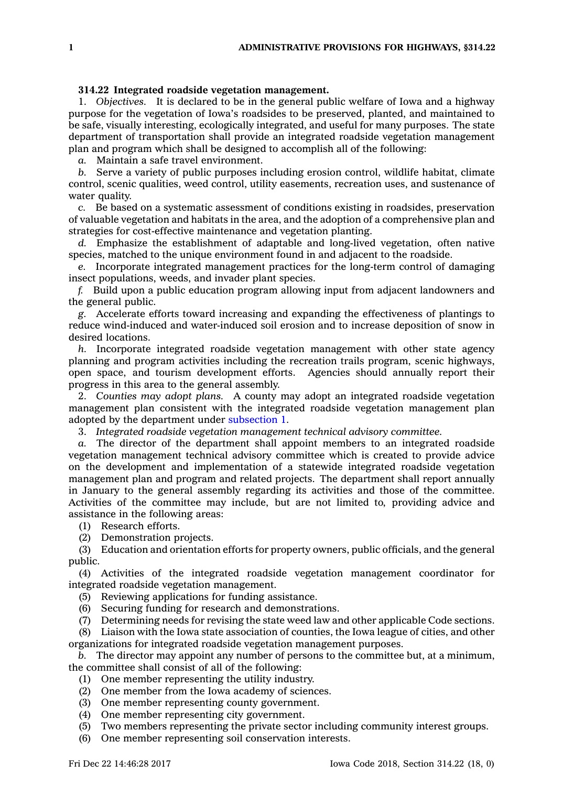## **314.22 Integrated roadside vegetation management.**

1. *Objectives.* It is declared to be in the general public welfare of Iowa and <sup>a</sup> highway purpose for the vegetation of Iowa's roadsides to be preserved, planted, and maintained to be safe, visually interesting, ecologically integrated, and useful for many purposes. The state department of transportation shall provide an integrated roadside vegetation management plan and program which shall be designed to accomplish all of the following:

*a.* Maintain <sup>a</sup> safe travel environment.

*b.* Serve <sup>a</sup> variety of public purposes including erosion control, wildlife habitat, climate control, scenic qualities, weed control, utility easements, recreation uses, and sustenance of water quality.

*c.* Be based on <sup>a</sup> systematic assessment of conditions existing in roadsides, preservation of valuable vegetation and habitats in the area, and the adoption of <sup>a</sup> comprehensive plan and strategies for cost-effective maintenance and vegetation planting.

*d.* Emphasize the establishment of adaptable and long-lived vegetation, often native species, matched to the unique environment found in and adjacent to the roadside.

*e.* Incorporate integrated management practices for the long-term control of damaging insect populations, weeds, and invader plant species.

*f.* Build upon <sup>a</sup> public education program allowing input from adjacent landowners and the general public.

*g.* Accelerate efforts toward increasing and expanding the effectiveness of plantings to reduce wind-induced and water-induced soil erosion and to increase deposition of snow in desired locations.

*h.* Incorporate integrated roadside vegetation management with other state agency planning and program activities including the recreation trails program, scenic highways, open space, and tourism development efforts. Agencies should annually report their progress in this area to the general assembly.

2. *Counties may adopt plans.* A county may adopt an integrated roadside vegetation management plan consistent with the integrated roadside vegetation management plan adopted by the department under [subsection](https://www.legis.iowa.gov/docs/code/314.22.pdf) 1.

3. *Integrated roadside vegetation management technical advisory committee.*

*a.* The director of the department shall appoint members to an integrated roadside vegetation management technical advisory committee which is created to provide advice on the development and implementation of <sup>a</sup> statewide integrated roadside vegetation management plan and program and related projects. The department shall report annually in January to the general assembly regarding its activities and those of the committee. Activities of the committee may include, but are not limited to, providing advice and assistance in the following areas:

- (1) Research efforts.
- (2) Demonstration projects.

(3) Education and orientation efforts for property owners, public officials, and the general public.

(4) Activities of the integrated roadside vegetation management coordinator for integrated roadside vegetation management.

- (5) Reviewing applications for funding assistance.
- (6) Securing funding for research and demonstrations.
- (7) Determining needs for revising the state weed law and other applicable Code sections.

(8) Liaison with the Iowa state association of counties, the Iowa league of cities, and other organizations for integrated roadside vegetation management purposes.

*b.* The director may appoint any number of persons to the committee but, at <sup>a</sup> minimum, the committee shall consist of all of the following:

- (1) One member representing the utility industry.
- (2) One member from the Iowa academy of sciences.
- (3) One member representing county government.
- (4) One member representing city government.
- (5) Two members representing the private sector including community interest groups.
- (6) One member representing soil conservation interests.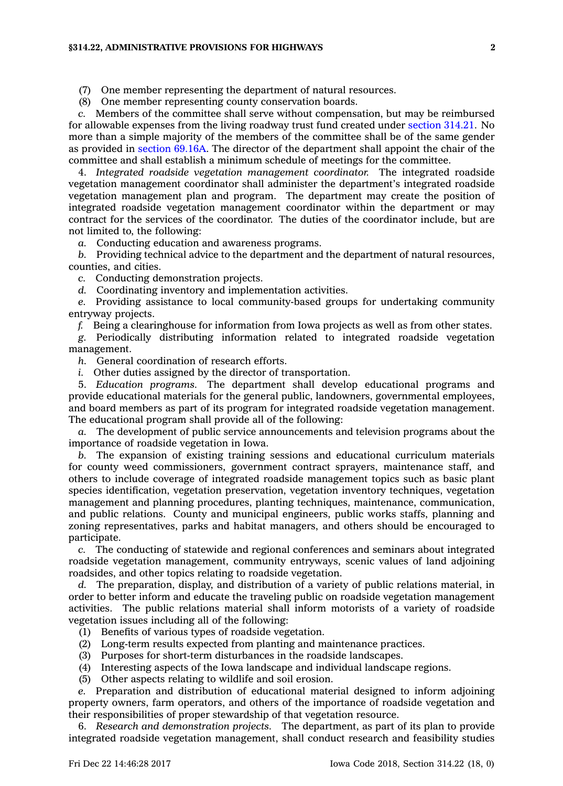## **§314.22, ADMINISTRATIVE PROVISIONS FOR HIGHWAYS 2**

(8) One member representing county conservation boards.

*c.* Members of the committee shall serve without compensation, but may be reimbursed for allowable expenses from the living roadway trust fund created under [section](https://www.legis.iowa.gov/docs/code/314.21.pdf) 314.21. No more than <sup>a</sup> simple majority of the members of the committee shall be of the same gender as provided in [section](https://www.legis.iowa.gov/docs/code/69.16A.pdf) 69.16A. The director of the department shall appoint the chair of the committee and shall establish <sup>a</sup> minimum schedule of meetings for the committee.

4. *Integrated roadside vegetation management coordinator.* The integrated roadside vegetation management coordinator shall administer the department's integrated roadside vegetation management plan and program. The department may create the position of integrated roadside vegetation management coordinator within the department or may contract for the services of the coordinator. The duties of the coordinator include, but are not limited to, the following:

*a.* Conducting education and awareness programs.

*b.* Providing technical advice to the department and the department of natural resources, counties, and cities.

*c.* Conducting demonstration projects.

*d.* Coordinating inventory and implementation activities.

*e.* Providing assistance to local community-based groups for undertaking community entryway projects.

*f.* Being <sup>a</sup> clearinghouse for information from Iowa projects as well as from other states.

*g.* Periodically distributing information related to integrated roadside vegetation management.

*h.* General coordination of research efforts.

*i.* Other duties assigned by the director of transportation.

5. *Education programs.* The department shall develop educational programs and provide educational materials for the general public, landowners, governmental employees, and board members as part of its program for integrated roadside vegetation management. The educational program shall provide all of the following:

*a.* The development of public service announcements and television programs about the importance of roadside vegetation in Iowa.

*b.* The expansion of existing training sessions and educational curriculum materials for county weed commissioners, government contract sprayers, maintenance staff, and others to include coverage of integrated roadside management topics such as basic plant species identification, vegetation preservation, vegetation inventory techniques, vegetation management and planning procedures, planting techniques, maintenance, communication, and public relations. County and municipal engineers, public works staffs, planning and zoning representatives, parks and habitat managers, and others should be encouraged to participate.

*c.* The conducting of statewide and regional conferences and seminars about integrated roadside vegetation management, community entryways, scenic values of land adjoining roadsides, and other topics relating to roadside vegetation.

*d.* The preparation, display, and distribution of <sup>a</sup> variety of public relations material, in order to better inform and educate the traveling public on roadside vegetation management activities. The public relations material shall inform motorists of <sup>a</sup> variety of roadside vegetation issues including all of the following:

- (1) Benefits of various types of roadside vegetation.
- (2) Long-term results expected from planting and maintenance practices.
- (3) Purposes for short-term disturbances in the roadside landscapes.
- (4) Interesting aspects of the Iowa landscape and individual landscape regions.
- (5) Other aspects relating to wildlife and soil erosion.

*e.* Preparation and distribution of educational material designed to inform adjoining property owners, farm operators, and others of the importance of roadside vegetation and their responsibilities of proper stewardship of that vegetation resource.

6. *Research and demonstration projects.* The department, as part of its plan to provide integrated roadside vegetation management, shall conduct research and feasibility studies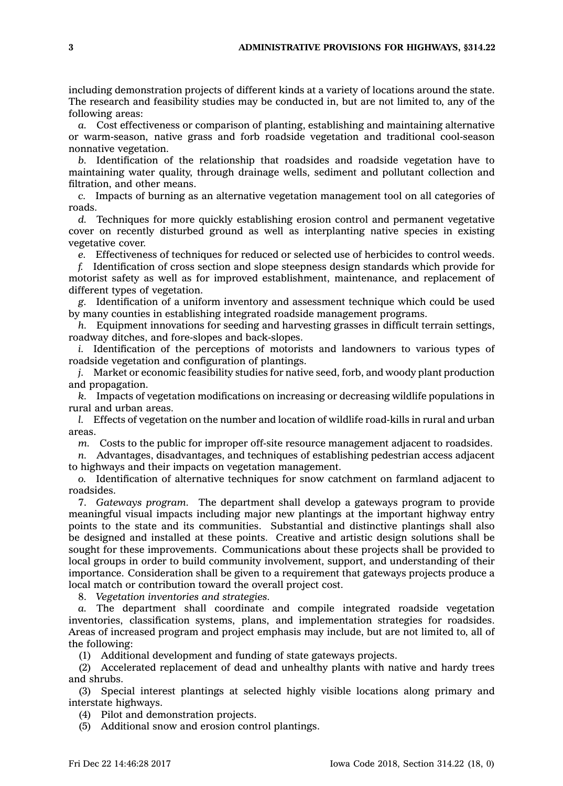including demonstration projects of different kinds at <sup>a</sup> variety of locations around the state. The research and feasibility studies may be conducted in, but are not limited to, any of the following areas:

*a.* Cost effectiveness or comparison of planting, establishing and maintaining alternative or warm-season, native grass and forb roadside vegetation and traditional cool-season nonnative vegetation.

*b.* Identification of the relationship that roadsides and roadside vegetation have to maintaining water quality, through drainage wells, sediment and pollutant collection and filtration, and other means.

*c.* Impacts of burning as an alternative vegetation management tool on all categories of roads.

*d.* Techniques for more quickly establishing erosion control and permanent vegetative cover on recently disturbed ground as well as interplanting native species in existing vegetative cover.

*e.* Effectiveness of techniques for reduced or selected use of herbicides to control weeds.

*f.* Identification of cross section and slope steepness design standards which provide for motorist safety as well as for improved establishment, maintenance, and replacement of different types of vegetation.

*g.* Identification of <sup>a</sup> uniform inventory and assessment technique which could be used by many counties in establishing integrated roadside management programs.

*h.* Equipment innovations for seeding and harvesting grasses in difficult terrain settings, roadway ditches, and fore-slopes and back-slopes.

*i.* Identification of the perceptions of motorists and landowners to various types of roadside vegetation and configuration of plantings.

*j.* Market or economic feasibility studies for native seed, forb, and woody plant production and propagation.

*k.* Impacts of vegetation modifications on increasing or decreasing wildlife populations in rural and urban areas.

*l.* Effects of vegetation on the number and location of wildlife road-kills in rural and urban areas.

*m.* Costs to the public for improper off-site resource management adjacent to roadsides.

*n.* Advantages, disadvantages, and techniques of establishing pedestrian access adjacent to highways and their impacts on vegetation management.

*o.* Identification of alternative techniques for snow catchment on farmland adjacent to roadsides.

7. *Gateways program.* The department shall develop <sup>a</sup> gateways program to provide meaningful visual impacts including major new plantings at the important highway entry points to the state and its communities. Substantial and distinctive plantings shall also be designed and installed at these points. Creative and artistic design solutions shall be sought for these improvements. Communications about these projects shall be provided to local groups in order to build community involvement, support, and understanding of their importance. Consideration shall be given to <sup>a</sup> requirement that gateways projects produce <sup>a</sup> local match or contribution toward the overall project cost.

8. *Vegetation inventories and strategies.*

*a.* The department shall coordinate and compile integrated roadside vegetation inventories, classification systems, plans, and implementation strategies for roadsides. Areas of increased program and project emphasis may include, but are not limited to, all of the following:

(1) Additional development and funding of state gateways projects.

(2) Accelerated replacement of dead and unhealthy plants with native and hardy trees and shrubs.

(3) Special interest plantings at selected highly visible locations along primary and interstate highways.

(4) Pilot and demonstration projects.

(5) Additional snow and erosion control plantings.